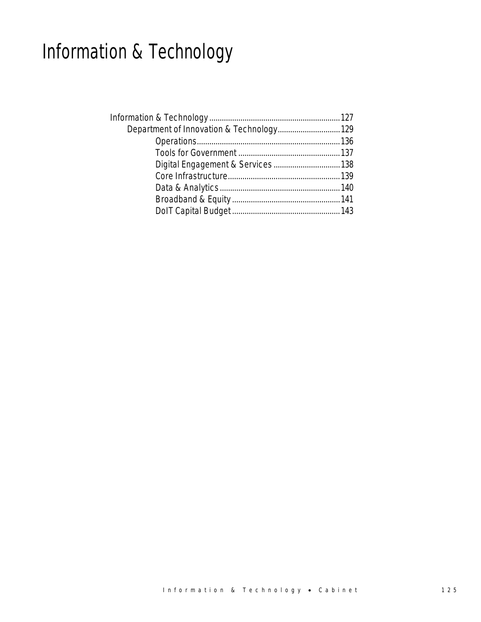# Information & Technology

| Department of Innovation & Technology 129 |  |
|-------------------------------------------|--|
|                                           |  |
|                                           |  |
|                                           |  |
|                                           |  |
|                                           |  |
|                                           |  |
|                                           |  |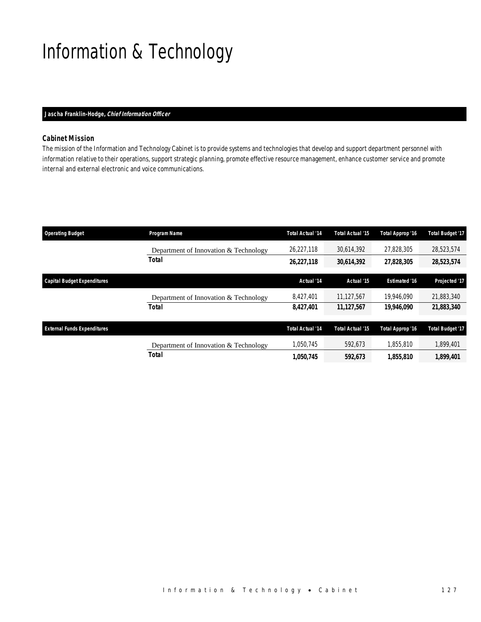# Information & Technology

## *Jascha Franklin-Hodge, Chief Information Officer*

## *Cabinet Mission*

The mission of the Information and Technology Cabinet is to provide systems and technologies that develop and support department personnel with information relative to their operations, support strategic planning, promote effective resource management, enhance customer service and promote internal and external electronic and voice communications.

| <b>Operating Budget</b>            | <b>Program Name</b>                                   | <b>Total Actual '14</b> | <b>Total Actual '15</b> | Total Approp '16     | <b>Total Budget '17</b> |
|------------------------------------|-------------------------------------------------------|-------------------------|-------------------------|----------------------|-------------------------|
|                                    | Department of Innovation & Technology                 | 26,227,118              | 30,614,392              | 27.828.305           | 28,523,574              |
|                                    | Total                                                 | 26,227,118              | 30,614,392              | 27,828,305           | 28,523,574              |
| <b>Capital Budget Expenditures</b> |                                                       | Actual '14              | Actual '15              | <b>Estimated '16</b> | Projected '17           |
|                                    | Department of Innovation & Technology                 | 8,427,401               | 11.127.567              | 19,946.090           | 21,883,340              |
|                                    | Total                                                 | 8,427,401               | 11,127,567              | 19,946,090           | 21,883,340              |
| <b>External Funds Expenditures</b> |                                                       | <b>Total Actual '14</b> | Total Actual '15        | Total Approp '16     | <b>Total Budget '17</b> |
|                                    |                                                       | 1.050.745               | 592,673                 | 1.855.810            | 1,899,401               |
|                                    | Department of Innovation & Technology<br><b>Total</b> | 1,050,745               | 592,673                 | 1,855,810            | 1,899,401               |
|                                    |                                                       |                         |                         |                      |                         |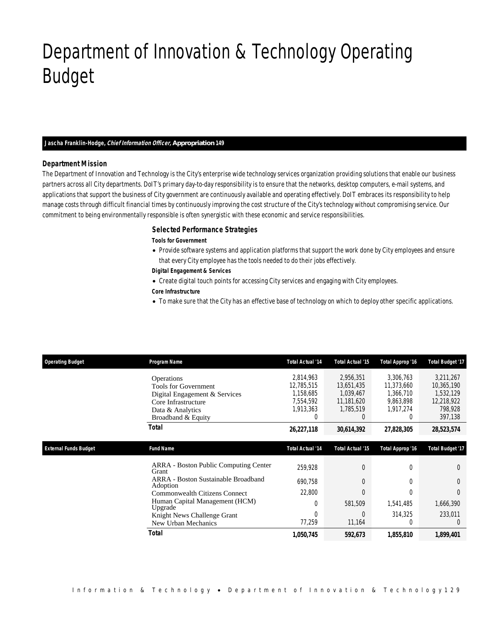# Department of Innovation & Technology Operating Budget

## *Jascha Franklin-Hodge, Chief Information Officer, Appropriation 149*

### *Department Mission*

Department of Innovation & Technology

The Department of Innovation and Technology is the City's enterprise wide technology services organization providing solutions that enable our business partners across all City departments. DoIT's primary day-to-day responsibility is to ensure that the networks, desktop computers, e-mail systems, and applications that support the business of City government are continuously available and operating effectively. DoIT embraces its responsibility to help manage costs through difficult financial times by continuously improving the cost structure of the City's technology without compromising service. Our commitment to being environmentally responsible is often synergistic with these economic and service responsibilities.

## *Selected Performance Strategies*

#### *Tools for Government*

• Provide software systems and application platforms that support the work done by City employees and ensure that every City employee has the tools needed to do their jobs effectively.

### *Digital Engagement & Services*

• Create digital touch points for accessing City services and engaging with City employees.

### *Core Infrastructure*

• To make sure that the City has an effective base of technology on which to deploy other specific applications.

| <b>Operating Budget</b>      | Program Name                                          | <b>Total Actual '14</b> | <b>Total Actual '15</b> | Total Approp '16 | <b>Total Budget '17</b> |
|------------------------------|-------------------------------------------------------|-------------------------|-------------------------|------------------|-------------------------|
|                              | Operations                                            | 2,814,963               | 2,956,351               | 3,306,763        | 3,211,267               |
|                              | <b>Tools for Government</b>                           | 12,785,515              | 13,651,435              | 11,373,660       | 10,365,190              |
|                              | Digital Engagement & Services                         | 1,158,685               | 1,039,467               | 1,366,710        | 1,532,129               |
|                              | Core Infrastructure                                   | 7,554,592               | 11,181,620              | 9,863,898        | 12,218,922              |
|                              | Data & Analytics                                      | 1,913,363               | 1,785,519               | 1,917,274        | 798.928                 |
|                              | Broadband & Equity                                    | $\mathbf 0$             | $\Omega$                | 0                | 397,138                 |
|                              | <b>Total</b>                                          | 26,227,118              | 30,614,392              | 27,828,305       | 28,523,574              |
|                              |                                                       |                         |                         |                  |                         |
| <b>External Funds Budget</b> | <b>Fund Name</b>                                      | <b>Total Actual '14</b> | <b>Total Actual '15</b> | Total Approp '16 | <b>Total Budget '17</b> |
|                              | <b>ARRA</b> - Boston Public Computing Center<br>Grant | 259,928                 | $\overline{0}$          | 0                | $\overline{0}$          |
|                              | ARRA - Boston Sustainable Broadband<br>Adoption       | 690.758                 | $\Omega$                | 0                | $\Omega$                |
|                              | <b>Commonwealth Citizens Connect</b>                  | 22,800                  | $\overline{0}$          | 0                | 0                       |
|                              | Human Capital Management (HCM)<br>Upgrade             | $\mathbf 0$             | 581,509                 | 1,541,485        | 1,666,390               |
|                              | Knight News Challenge Grant                           | $\Omega$                | $\Omega$                | 314,325          | 233,011                 |
|                              | New Urban Mechanics                                   | 77,259                  | 11,164                  | 0                | $\theta$                |
|                              | Total                                                 | 1,050,745               | 592,673                 | 1,855,810        | 1,899,401               |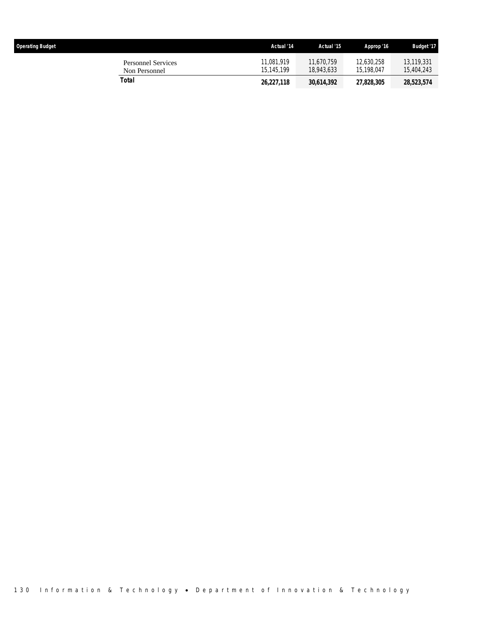| <b>Operating Budget</b>                    | Actual '14               | Actual '15               | Approp '16               | <b>Budget '17</b>        |
|--------------------------------------------|--------------------------|--------------------------|--------------------------|--------------------------|
| <b>Personnel Services</b><br>Non Personnel | 11.081.919<br>15.145.199 | 11.670.759<br>18,943,633 | 12,630,258<br>15.198.047 | 13,119,331<br>15,404,243 |
| Total                                      | 26,227,118               | 30,614,392               | 27,828,305               | 28,523,574               |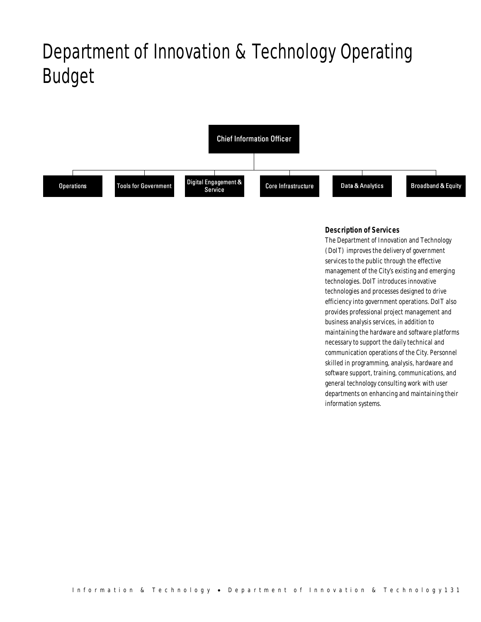# Department of Innovation & Technology Operating Budget



## *Description of Services*

The Department of Innovation and Technology (DoIT) improves the delivery of government services to the public through the effective management of the City's existing and emerging technologies. DoIT introduces innovative technologies and processes designed to drive efficiency into government operations. DoIT also provides professional project management and business analysis services, in addition to maintaining the hardware and software platforms necessary to support the daily technical and communication operations of the City. Personnel skilled in programming, analysis, hardware and software support, training, communications, and general technology consulting work with user departments on enhancing and maintaining their information systems.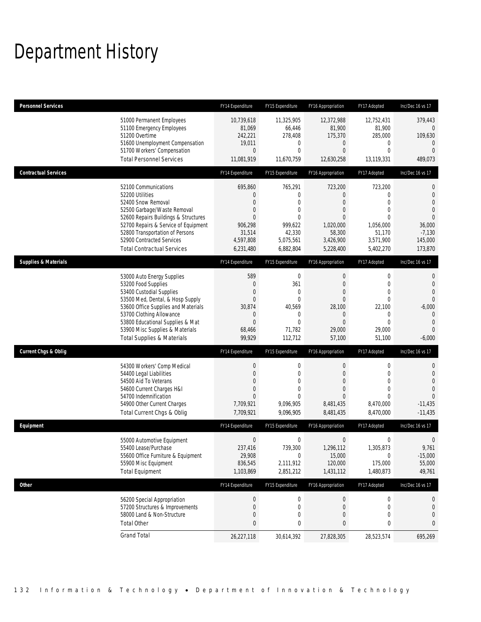# Department History

| <b>Personnel Services</b>       |                                                                                                                                                                                                                                                                                                      | FY14 Expenditure                                                                  | FY15 Expenditure                                                                                            | FY16 Appropriation                                                                                                         | FY17 Adopted                                                                                              | Inc/Dec 16 vs 17                                                                                                |
|---------------------------------|------------------------------------------------------------------------------------------------------------------------------------------------------------------------------------------------------------------------------------------------------------------------------------------------------|-----------------------------------------------------------------------------------|-------------------------------------------------------------------------------------------------------------|----------------------------------------------------------------------------------------------------------------------------|-----------------------------------------------------------------------------------------------------------|-----------------------------------------------------------------------------------------------------------------|
|                                 | 51000 Permanent Employees<br>51100 Emergency Employees<br>51200 Overtime<br>51600 Unemployment Compensation<br>51700 Workers' Compensation<br><b>Total Personnel Services</b>                                                                                                                        | 10,739,618<br>81,069<br>242,221<br>19,011<br>0<br>11,081,919                      | 11,325,905<br>66,446<br>278,408<br>0<br>$\mathbf 0$<br>11,670,759                                           | 12,372,988<br>81,900<br>175,370<br>$\overline{0}$<br>$\mathbf{0}$<br>12,630,258                                            | 12,752,431<br>81,900<br>285,000<br>0<br>$\overline{0}$<br>13,119,331                                      | 379,443<br>$\mathbf{0}$<br>109,630<br>$\mathbf{0}$<br>$\Omega$<br>489,073                                       |
| <b>Contractual Services</b>     |                                                                                                                                                                                                                                                                                                      | FY14 Expenditure                                                                  | FY15 Expenditure                                                                                            | FY16 Appropriation                                                                                                         | FY17 Adopted                                                                                              | Inc/Dec 16 vs 17                                                                                                |
|                                 | 52100 Communications<br>52200 Utilities<br>52400 Snow Removal<br>52500 Garbage/Waste Removal<br>52600 Repairs Buildings & Structures<br>52700 Repairs & Service of Equipment<br>52800 Transportation of Persons<br>52900 Contracted Services<br><b>Total Contractual Services</b>                    | 695,860<br>0<br>$\Omega$<br>0<br>0<br>906,298<br>31,514<br>4,597,808<br>6,231,480 | 765,291<br>0<br>$\mathbf 0$<br>0<br>$\Omega$<br>999,622<br>42,330<br>5,075,561<br>6,882,804                 | 723,200<br>$\mathbf{0}$<br>$\mathbf{0}$<br>$\mathbf{0}$<br>$\overline{0}$<br>1,020,000<br>58,300<br>3,426,900<br>5,228,400 | 723,200<br>0<br>$\Omega$<br>$\overline{0}$<br>0<br>1,056,000<br>51,170<br>3,571,900<br>5,402,270          | 0<br>$\mathbf 0$<br>$\theta$<br>$\boldsymbol{0}$<br>$\Omega$<br>36,000<br>$-7,130$<br>145,000<br>173,870        |
| <b>Supplies &amp; Materials</b> |                                                                                                                                                                                                                                                                                                      | FY14 Expenditure                                                                  | FY15 Expenditure                                                                                            | FY16 Appropriation                                                                                                         | FY17 Adopted                                                                                              | Inc/Dec 16 vs 17                                                                                                |
|                                 | 53000 Auto Energy Supplies<br>53200 Food Supplies<br>53400 Custodial Supplies<br>53500 Med, Dental, & Hosp Supply<br>53600 Office Supplies and Materials<br>53700 Clothing Allowance<br>53800 Educational Supplies & Mat<br>53900 Misc Supplies & Materials<br><b>Total Supplies &amp; Materials</b> | 589<br>0<br>0<br>0<br>30,874<br>0<br>$\overline{0}$<br>68,466<br>99,929           | $\boldsymbol{0}$<br>361<br>$\mathbf{0}$<br>$\mathbf{0}$<br>40,569<br>0<br>$\mathbf{0}$<br>71,782<br>112,712 | $\boldsymbol{0}$<br>$\mathbf{0}$<br>$\mathbf{0}$<br>$\mathbf{0}$<br>28,100<br>0<br>$\mathbf{0}$<br>29,000<br>57,100        | 0<br>$\mathbf 0$<br>$\overline{0}$<br>$\overline{0}$<br>22,100<br>0<br>$\overline{0}$<br>29,000<br>51,100 | $\theta$<br>0<br>$\mathbf{0}$<br>$\theta$<br>$-6,000$<br>$\mathbf{0}$<br>$\overline{0}$<br>$\Omega$<br>$-6,000$ |
| <b>Current Chgs &amp; Oblig</b> |                                                                                                                                                                                                                                                                                                      | FY14 Expenditure                                                                  | FY15 Expenditure                                                                                            | FY16 Appropriation                                                                                                         | FY17 Adopted                                                                                              | Inc/Dec 16 vs 17                                                                                                |
|                                 | 54300 Workers' Comp Medical<br>54400 Legal Liabilities<br>54500 Aid To Veterans<br>54600 Current Charges H&I<br>54700 Indemnification<br>54900 Other Current Charges<br>Total Current Chgs & Oblig                                                                                                   | $\mathbf 0$<br>$\overline{0}$<br>0<br>0<br>0<br>7,709,921<br>7,709,921            | $\boldsymbol{0}$<br>$\boldsymbol{0}$<br>$\mathbf 0$<br>$\mathbf 0$<br>$\Omega$<br>9,096,905<br>9,096,905    | 0<br>$\mathbf{0}$<br>$\mathbf{0}$<br>$\mathbf{0}$<br>$\mathbf{0}$<br>8,481,435<br>8,481,435                                | 0<br>$\mathbf 0$<br>$\overline{0}$<br>$\overline{0}$<br>0<br>8,470,000<br>8,470,000                       | $\mathbf{0}$<br>$\boldsymbol{0}$<br>$\theta$<br>$\mathbf{0}$<br>$\Omega$<br>$-11,435$<br>$-11,435$              |
| Equipment                       |                                                                                                                                                                                                                                                                                                      | FY14 Expenditure                                                                  | FY15 Expenditure                                                                                            | FY16 Appropriation                                                                                                         | FY17 Adopted                                                                                              | Inc/Dec 16 vs 17                                                                                                |
|                                 | 55000 Automotive Equipment<br>55400 Lease/Purchase<br>55600 Office Furniture & Equipment<br>55900 Misc Equipment<br><b>Total Equipment</b>                                                                                                                                                           | 0<br>237,416<br>29,908<br>836,545<br>1,103,869                                    | 0<br>739,300<br>$\boldsymbol{0}$<br>2,111,912<br>2,851,212                                                  | $\boldsymbol{0}$<br>1,296,112<br>15,000<br>120,000<br>1,431,112                                                            | 0<br>1,305,873<br>$\mathbf 0$<br>175,000<br>1,480,873                                                     | 0<br>9,761<br>$-15,000$<br>55,000<br>49,761                                                                     |
| Other                           |                                                                                                                                                                                                                                                                                                      | FY14 Expenditure                                                                  | FY15 Expenditure                                                                                            | FY16 Appropriation                                                                                                         | FY17 Adopted                                                                                              | Inc/Dec 16 vs 17                                                                                                |
|                                 | 56200 Special Appropriation<br>57200 Structures & Improvements<br>58000 Land & Non-Structure<br><b>Total Other</b>                                                                                                                                                                                   | $\bf{0}$<br>0<br>0<br>0                                                           | $\boldsymbol{0}$<br>0<br>0<br>0                                                                             | 0<br>0<br>0<br>0                                                                                                           | 0<br>0<br>0<br>0                                                                                          | $\mathbf 0$<br>0<br>$\bf{0}$                                                                                    |
|                                 | <b>Grand Total</b>                                                                                                                                                                                                                                                                                   | 26,227,118                                                                        | 30,614,392                                                                                                  | 27,828,305                                                                                                                 | 28,523,574                                                                                                | 695,269                                                                                                         |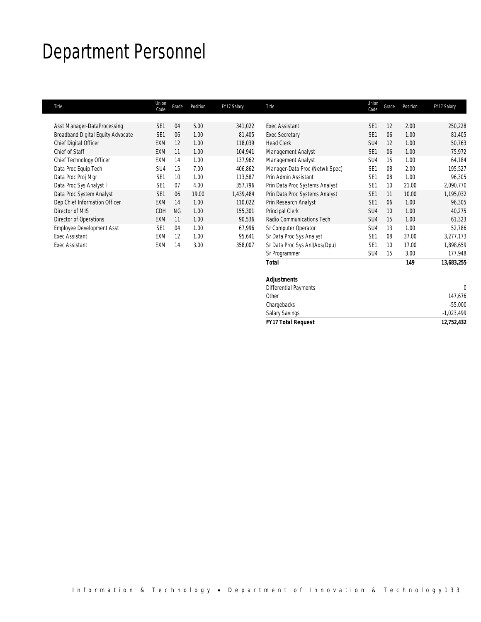## Department Personnel

| Title                             | Union<br>Code   | Grade     | Position | FY17 Salary | Title                          | Union<br>Code   | Grade           | Position | FY17 Salary |
|-----------------------------------|-----------------|-----------|----------|-------------|--------------------------------|-----------------|-----------------|----------|-------------|
|                                   |                 |           |          |             |                                |                 |                 |          |             |
| Asst Manager-DataProcessing       | SE <sub>1</sub> | 04        | 5.00     | 341,022     | <b>Exec Assistant</b>          | SE <sub>1</sub> | 12              | 2.00     | 250,228     |
| Broadband Digital Equity Advocate | SE <sub>1</sub> | 06        | 1.00     | 81,405      | <b>Exec Secretary</b>          | SE <sub>1</sub> | 06              | 1.00     | 81,405      |
| Chief Digital Officer             | <b>EXM</b>      | 12        | 1.00     | 118,039     | <b>Head Clerk</b>              | SU4             | 12              | 1.00     | 50,763      |
| Chief of Staff                    | <b>EXM</b>      | 11        | 1.00     | 104,941     | Management Analyst             | SE <sub>1</sub> | 06              | 1.00     | 75,972      |
| Chief Technology Officer          | EXM             | 14        | 1.00     | 137,962     | Management Analyst             | SU <sub>4</sub> | 15              | 1.00     | 64,184      |
| Data Proc Equip Tech              | SU <sub>4</sub> | 15        | 7.00     | 406.862     | Manager-Data Proc (Netwk Spec) | SE <sub>1</sub> | 08              | 2.00     | 195,527     |
| Data Proc Proj Mgr                | SF <sub>1</sub> | 10        | 1.00     | 113,587     | Prin Admin Assistant           | SF <sub>1</sub> | 08              | 1.00     | 96,305      |
| Data Proc Sys Analyst I           | SF <sub>1</sub> | 07        | 4.00     | 357,796     | Prin Data Proc Systems Analyst | SE <sub>1</sub> | 10 <sup>°</sup> | 21.00    | 2,090,770   |
| Data Proc System Analyst          | SF <sub>1</sub> | 06        | 19.00    | 1.439.484   | Prin Data Proc Systems Analyst | SE <sub>1</sub> | 11              | 10.00    | 1,195,032   |
| Dep Chief Information Officer     | <b>EXM</b>      | 14        | 1.00     | 110,022     | Prin Research Analyst          | SE <sub>1</sub> | 06              | 1.00     | 96,305      |
| Director of MIS                   | <b>CDH</b>      | <b>NG</b> | 1.00     | 155,301     | Principal Clerk                | SU4             | 10              | 1.00     | 40,275      |
| Director of Operations            | <b>EXM</b>      | 11        | 1.00     | 90,536      | Radio Communications Tech      | SU4             | 15              | 1.00     | 61,323      |
| <b>Employee Development Asst</b>  | SE <sub>1</sub> | 04        | 1.00     | 67,996      | Sr Computer Operator           | SU4             | 13              | 1.00     | 52,786      |
| <b>Exec Assistant</b>             | EXM             | 12        | 1.00     | 95,641      | Sr Data Proc Sys Analyst       | SE <sub>1</sub> | 08              | 37.00    | 3,277,173   |
| Exec Assistant                    | EXM             | 14        | 3.00     | 358,007     | Sr Data Proc Sys AnI(Ads/Dpu)  | SE <sub>1</sub> | 10              | 17.00    | 1,898,659   |
|                                   |                 |           |          |             | Sr Programmer                  | SU <sub>4</sub> | 15              | 3.00     | 177,948     |
|                                   |                 |           |          |             | Total                          |                 |                 | 149      | 13,683,255  |

## *Adjustments*  Differential Payments 0 Other 147,676 Chargebacks -55,000 Salary Savings -1,023,499 *FY17 Total Request 12,752,432*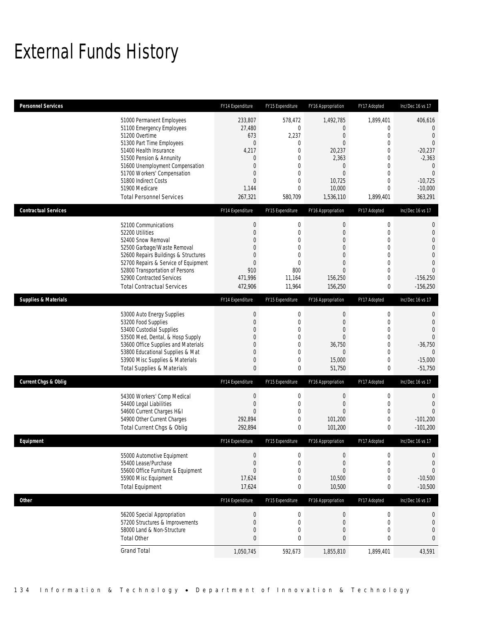# External Funds History

| <b>Personnel Services</b>       |                                                                                                                                                                                                                                                                                                            | FY14 Expenditure                                                                                                        | FY15 Expenditure                                                                                                                                        | FY16 Appropriation                                                                                                                     | FY17 Adopted                                                        | Inc/Dec 16 vs 17                                                                                                                                 |
|---------------------------------|------------------------------------------------------------------------------------------------------------------------------------------------------------------------------------------------------------------------------------------------------------------------------------------------------------|-------------------------------------------------------------------------------------------------------------------------|---------------------------------------------------------------------------------------------------------------------------------------------------------|----------------------------------------------------------------------------------------------------------------------------------------|---------------------------------------------------------------------|--------------------------------------------------------------------------------------------------------------------------------------------------|
|                                 | 51000 Permanent Employees<br>51100 Emergency Employees<br>51200 Overtime<br>51300 Part Time Employees<br>51400 Health Insurance<br>51500 Pension & Annunity<br>51600 Unemployment Compensation<br>51700 Workers' Compensation<br>51800 Indirect Costs<br>51900 Medicare<br><b>Total Personnel Services</b> | 233,807<br>27,480<br>673<br>$\mathbf 0$<br>4,217<br>0<br>$\mathbf{0}$<br>$\Omega$<br>$\overline{0}$<br>1,144<br>267,321 | 578,472<br>$\mathbf{0}$<br>2,237<br>$\mathbf 0$<br>$\mathbf{0}$<br>$\mathbf 0$<br>$\mathbf{0}$<br>$\mathbf 0$<br>$\mathbf{0}$<br>$\mathbf 0$<br>580,709 | 1,492,785<br>0<br>$\overline{0}$<br>$\overline{0}$<br>20,237<br>2,363<br>$\mathbf{0}$<br>$\mathbf{0}$<br>10,725<br>10,000<br>1,536,110 | 1,899,401<br>0<br>0<br>0<br>0<br>0<br>0<br>0<br>0<br>0<br>1,899,401 | 406,616<br>$\overline{0}$<br>$\overline{0}$<br>$\theta$<br>$-20,237$<br>$-2,363$<br>$\mathbf 0$<br>$\theta$<br>$-10,725$<br>$-10,000$<br>363,291 |
| <b>Contractual Services</b>     |                                                                                                                                                                                                                                                                                                            | FY14 Expenditure                                                                                                        | FY15 Expenditure                                                                                                                                        | FY16 Appropriation                                                                                                                     | FY17 Adopted                                                        | Inc/Dec 16 vs 17                                                                                                                                 |
|                                 | 52100 Communications<br>52200 Utilities<br>52400 Snow Removal<br>52500 Garbage/Waste Removal<br>52600 Repairs Buildings & Structures<br>52700 Repairs & Service of Equipment<br>52800 Transportation of Persons<br>52900 Contracted Services<br><b>Total Contractual Services</b>                          | $\boldsymbol{0}$<br>0<br>0<br>0<br>$\Omega$<br>0<br>910<br>471.996<br>472,906                                           | $\mathbf 0$<br>$\mathbf 0$<br>$\overline{0}$<br>$\mathbf 0$<br>$\mathbf{0}$<br>$\mathbf{0}$<br>800<br>11,164<br>11,964                                  | 0<br>$\mathbf{0}$<br>$\mathbf{0}$<br>$\mathbf{0}$<br>$\mathbf{0}$<br>$\overline{0}$<br>$\mathbf{0}$<br>156,250<br>156,250              | 0<br>0<br>0<br>0<br>0<br>0<br>0<br>0<br>0                           | 0<br>$\mathbf 0$<br>$\mathbf{0}$<br>$\mathbf{0}$<br>$\boldsymbol{0}$<br>$\Omega$<br>$\theta$<br>$-156,250$<br>$-156.250$                         |
| <b>Supplies &amp; Materials</b> |                                                                                                                                                                                                                                                                                                            | FY14 Expenditure                                                                                                        | FY15 Expenditure                                                                                                                                        | FY16 Appropriation                                                                                                                     | FY17 Adopted                                                        | Inc/Dec 16 vs 17                                                                                                                                 |
|                                 | 53000 Auto Energy Supplies<br>53200 Food Supplies<br>53400 Custodial Supplies<br>53500 Med, Dental, & Hosp Supply<br>53600 Office Supplies and Materials<br>53800 Educational Supplies & Mat<br>53900 Misc Supplies & Materials<br><b>Total Supplies &amp; Materials</b>                                   | $\boldsymbol{0}$<br>0<br>0<br>0<br>0<br>0<br>$\mathbf{0}$<br>0                                                          | $\mathbf 0$<br>$\mathbf 0$<br>$\mathbf{0}$<br>$\mathbf 0$<br>$\mathbf{0}$<br>$\mathbf 0$<br>$\mathbf 0$<br>0                                            | $\boldsymbol{0}$<br>$\mathbf{0}$<br>$\mathbf{0}$<br>$\overline{0}$<br>36,750<br>$\overline{0}$<br>15,000<br>51,750                     | 0<br>0<br>0<br>0<br>0<br>0<br>0<br>0                                | 0<br>$\theta$<br>$\theta$<br>$\Omega$<br>$-36,750$<br>$\Omega$<br>$-15,000$<br>$-51,750$                                                         |
| <b>Current Chgs &amp; Oblig</b> |                                                                                                                                                                                                                                                                                                            | FY14 Expenditure                                                                                                        | FY15 Expenditure                                                                                                                                        | FY16 Appropriation                                                                                                                     | FY17 Adopted                                                        | Inc/Dec 16 vs 17                                                                                                                                 |
|                                 | 54300 Workers' Comp Medical<br>54400 Legal Liabilities<br>54600 Current Charges H&I<br>54900 Other Current Charges<br>Total Current Chgs & Oblig                                                                                                                                                           | $\mathbf 0$<br>$\mathbf 0$<br>0<br>292.894<br>292,894                                                                   | $\mathbf 0$<br>$\mathbf{0}$<br>$\mathbf 0$<br>$\mathbf 0$<br>0                                                                                          | 0<br>$\mathbf{0}$<br>$\mathbf{0}$<br>101,200<br>101,200                                                                                | 0<br>0<br>0<br>0<br>0                                               | 0<br>$\overline{0}$<br>$\Omega$<br>$-101,200$<br>$-101,200$                                                                                      |
| Equipment                       |                                                                                                                                                                                                                                                                                                            | FY14 Expenditure                                                                                                        | FY15 Expenditure                                                                                                                                        | FY16 Appropriation                                                                                                                     | FY17 Adopted                                                        | Inc/Dec 16 vs 17                                                                                                                                 |
|                                 | 55000 Automotive Equipment<br>55400 Lease/Purchase<br>55600 Office Furniture & Equipment<br>55900 Misc Equipment<br><b>Total Equipment</b>                                                                                                                                                                 | $\boldsymbol{0}$<br>$\mathbf 0$<br>$\overline{0}$<br>17,624<br>17,624                                                   | $\mathbf 0$<br>$\mathbf 0$<br>$\mathbf{0}$<br>$\mathbf 0$<br>$\boldsymbol{0}$                                                                           | $\boldsymbol{0}$<br>$\boldsymbol{0}$<br>$\mathbf{0}$<br>10,500<br>10,500                                                               | 0<br>0<br>0<br>0<br>0                                               | $\boldsymbol{0}$<br>0<br>$\Omega$<br>$-10,500$<br>$-10,500$                                                                                      |
| Other                           |                                                                                                                                                                                                                                                                                                            | FY14 Expenditure                                                                                                        | FY15 Expenditure                                                                                                                                        | FY16 Appropriation                                                                                                                     | FY17 Adopted                                                        | Inc/Dec 16 vs 17                                                                                                                                 |
|                                 | 56200 Special Appropriation<br>57200 Structures & Improvements<br>58000 Land & Non-Structure<br><b>Total Other</b>                                                                                                                                                                                         | $\boldsymbol{0}$<br>$\mathbf 0$<br>$\boldsymbol{0}$<br>0                                                                | $\boldsymbol{0}$<br>$\mathbf 0$<br>$\mathbf 0$<br>0                                                                                                     | $\boldsymbol{0}$<br>$\boldsymbol{0}$<br>$\boldsymbol{0}$<br>$\bf 0$                                                                    | $\boldsymbol{0}$<br>$\mathbf 0$<br>0<br>0                           | 0<br>$\overline{0}$<br>$\boldsymbol{0}$<br>0                                                                                                     |
|                                 | <b>Grand Total</b>                                                                                                                                                                                                                                                                                         | 1,050,745                                                                                                               | 592,673                                                                                                                                                 | 1,855,810                                                                                                                              | 1,899,401                                                           | 43,591                                                                                                                                           |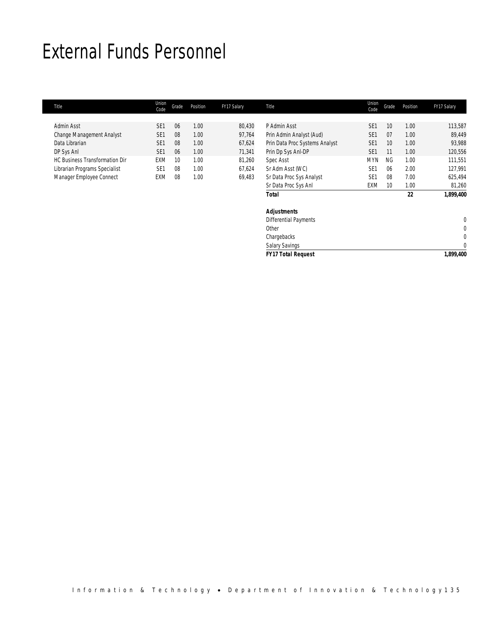## External Funds Personnel

| Title                                 | Union<br>Code   | Grade | Position | FY17 Salary | Title                          | Union<br>Code   | Grade | Position | FY17 Salary |
|---------------------------------------|-----------------|-------|----------|-------------|--------------------------------|-----------------|-------|----------|-------------|
|                                       |                 |       |          |             |                                |                 |       |          |             |
| Admin Asst                            | SF <sub>1</sub> | 06    | 1.00     | 80.430      | P Admin Asst                   | SE <sub>1</sub> | 10    | 1.00     | 113,587     |
| Change Management Analyst             | SE <sub>1</sub> | 08    | 1.00     | 97,764      | Prin Admin Analyst (Aud)       | SE <sub>1</sub> | 07    | 1.00     | 89,449      |
| Data Librarian                        | SE <sub>1</sub> | 08    | 1.00     | 67,624      | Prin Data Proc Systems Analyst | SE <sub>1</sub> | 10    | 1.00     | 93,988      |
| DP Sys Anl                            | SE <sub>1</sub> | 06    | 1.00     | 71,341      | Prin Dp Sys Anl-DP             | SE <sub>1</sub> |       | 1.00     | 120,556     |
| <b>HC Business Transformation Dir</b> | EXM             | 10    | 1.00     | 81.260      | Spec Asst                      | <b>MYN</b>      | NG    | 1.00     | 111.551     |
| Librarian Programs Specialist         | SE <sub>1</sub> | 08    | 1.00     | 67,624      | Sr Adm Asst (WC)               | SE <sub>1</sub> | 06    | 2.00     | 127.991     |
| Manager Employee Connect              | EXM             | 08    | 1.00     | 69,483      | Sr Data Proc Sys Analyst       | SE <sub>1</sub> | 08    | 7.00     | 625,494     |
|                                       |                 |       |          |             | Sr Data Proc Sys Anl           | <b>EXM</b>      | 10    | 1.00     | 81,260      |
|                                       |                 |       |          |             | <b>Total</b>                   |                 |       | 22       | 1.899.400   |
|                                       |                 |       |          |             | <b>Adjustments</b>             |                 |       |          |             |

| <b>FY17 Total Request</b> | 1,899,400 |
|---------------------------|-----------|
| <b>Salary Savings</b>     |           |
| Chargebacks               | 0         |
| Other                     | 0         |
| Differential Payments     | 0         |
| Aujustinems               |           |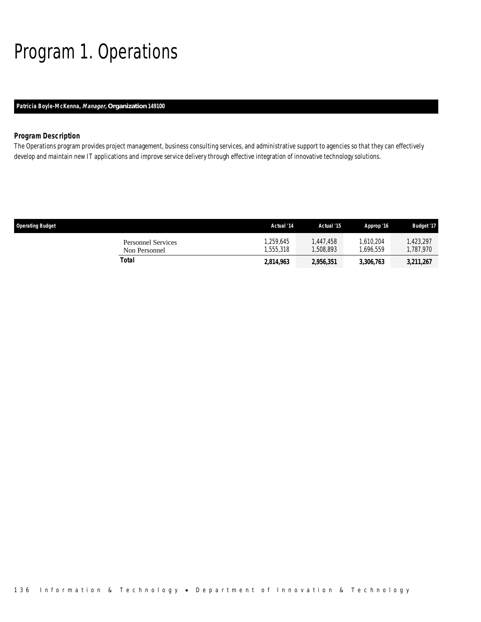# Program 1. Operations

## *Patricia Boyle-McKenna, Manager, Organization 149100*

## *Program Description*

The Operations program provides project management, business consulting services, and administrative support to agencies so that they can effectively develop and maintain new IT applications and improve service delivery through effective integration of innovative technology solutions.

| <b>Operating Budget</b>                    | Actual '14           | Actual '15           | Approp '16           | <b>Budget '17</b>    |
|--------------------------------------------|----------------------|----------------------|----------------------|----------------------|
| <b>Personnel Services</b><br>Non Personnel | .259.645<br>.555.318 | .447.458<br>.508.893 | .610.204<br>.696.559 | .423.297<br>.787.970 |
| Total                                      | 2,814,963            | 2,956,351            | 3,306,763            | 3,211,267            |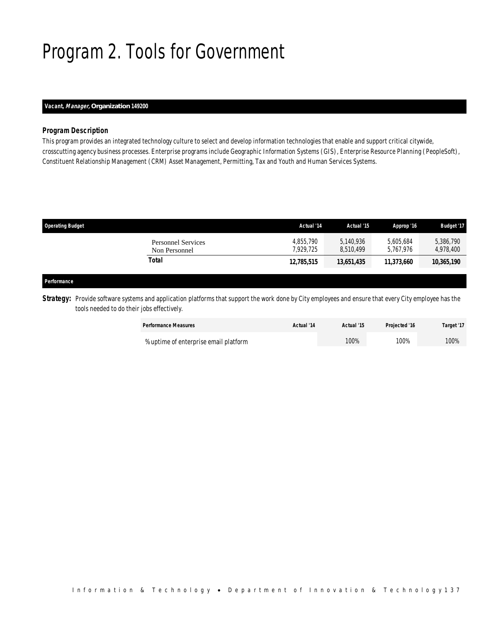# Program 2. Tools for Government

## *Vacant, Manager, Organization 149200*

## *Program Description*

This program provides an integrated technology culture to select and develop information technologies that enable and support critical citywide, crosscutting agency business processes. Enterprise programs include Geographic Information Systems (GIS), Enterprise Resource Planning (PeopleSoft), Constituent Relationship Management (CRM) Asset Management, Permitting, Tax and Youth and Human Services Systems.

| <b>Operating Budget</b> |                                            | Actual '14             | Actual '15             | Approp '16             | <b>Budget '17</b>      |
|-------------------------|--------------------------------------------|------------------------|------------------------|------------------------|------------------------|
|                         | <b>Personnel Services</b><br>Non Personnel | 4,855,790<br>7.929.725 | 5,140,936<br>8.510.499 | 5.605.684<br>5.767.976 | 5,386,790<br>4,978,400 |
| Total                   |                                            | 12,785,515             | 13,651,435             | 11,373,660             | 10,365,190             |
| Performance             |                                            |                        |                        |                        |                        |

**Strategy:** Provide software systems and application platforms that support the work done by City employees and ensure that every City employee has the tools needed to do their jobs effectively.

| <b>Performance Measures</b>           | Actual '14 | Actual '15 | Projected '16 | Target '17 |
|---------------------------------------|------------|------------|---------------|------------|
| % uptime of enterprise email platform |            | 100%       | 100%          | 100%       |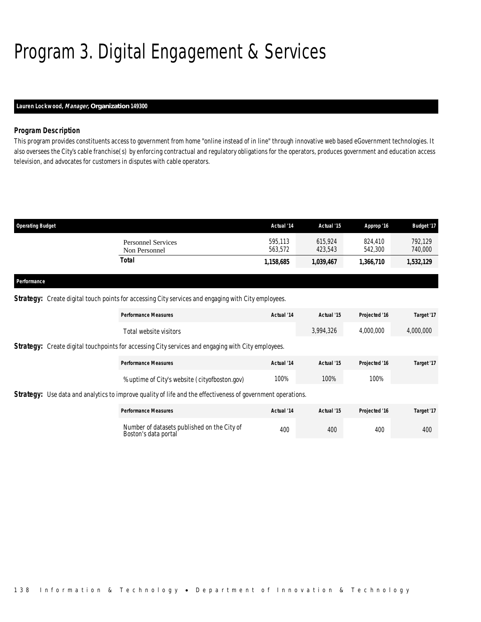# Program 3. Digital Engagement & Services

## *Lauren Lockwood, Manager, Organization 149300*

## *Program Description*

This program provides constituents access to government from home "online instead of in line" through innovative web based eGovernment technologies. It also oversees the City's cable franchise(s) by enforcing contractual and regulatory obligations for the operators, produces government and education access television, and advocates for customers in disputes with cable operators.

| <b>Operating Budget</b> |                                            | Actual '14         | Actual '15         | Approp '16         | <b>Budget '17</b>  |
|-------------------------|--------------------------------------------|--------------------|--------------------|--------------------|--------------------|
|                         | <b>Personnel Services</b><br>Non Personnel | 595,113<br>563.572 | 615.924<br>423.543 | 824,410<br>542,300 | 792.129<br>740,000 |
|                         | <b>Total</b>                               | 1,158,685          | 1,039,467          | 1,366,710          | 1,532,129          |
| Performance             |                                            |                    |                    |                    |                    |

## **Strategy:** Create digital touch points for accessing City services and engaging with City employees.

|                                                                                                           |                                               | <b>Performance Measures</b>                                                                                        | Actual '14 | Actual '15 | Projected '16 | Target '17 |  |
|-----------------------------------------------------------------------------------------------------------|-----------------------------------------------|--------------------------------------------------------------------------------------------------------------------|------------|------------|---------------|------------|--|
|                                                                                                           |                                               | Total website visitors                                                                                             |            | 3,994,326  | 4.000.000     | 4,000,000  |  |
| <b>Strategy:</b> Create digital touchpoints for accessing City services and engaging with City employees. |                                               |                                                                                                                    |            |            |               |            |  |
|                                                                                                           |                                               | <b>Performance Measures</b>                                                                                        | Actual '14 | Actual '15 | Projected '16 | Target '17 |  |
|                                                                                                           | % uptime of City's website (cityofboston.gov) | 100%                                                                                                               | 100%       | 100%       |               |            |  |
|                                                                                                           |                                               | <b>Strategy:</b> Use data and analytics to improve quality of life and the effectiveness of government operations. |            |            |               |            |  |

| <b>Performance Measures</b>                                         | Actual '14 | Actual '15 | Projected '16 | Target '17 |
|---------------------------------------------------------------------|------------|------------|---------------|------------|
| Number of datasets published on the City of<br>Boston's data portal | 400        | 400        | 400           | 400        |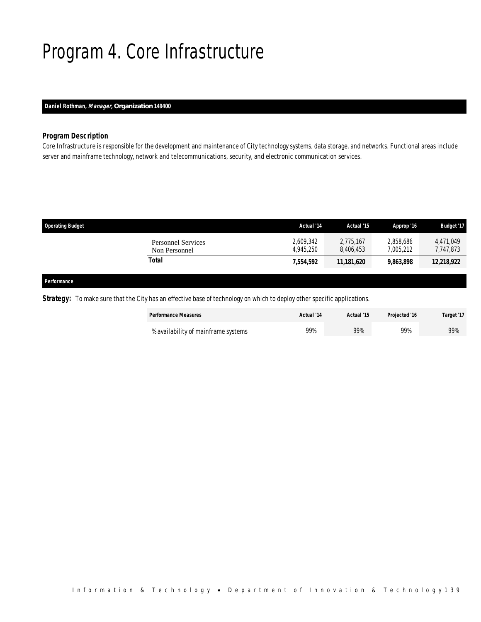# Program 4. Core Infrastructure

## *Daniel Rothman, Manager, Organization 149400*

## *Program Description*

Core Infrastructure is responsible for the development and maintenance of City technology systems, data storage, and networks. Functional areas include server and mainframe technology, network and telecommunications, security, and electronic communication services.

| <b>Operating Budget</b>                    | Actual '14             | Actual '15             | Approp '16             | <b>Budget '17</b>      |
|--------------------------------------------|------------------------|------------------------|------------------------|------------------------|
| <b>Personnel Services</b><br>Non Personnel | 2,609,342<br>4.945.250 | 2,775,167<br>8.406.453 | 2.858.686<br>7.005.212 | 4,471,049<br>7,747,873 |
| Total                                      | 7,554,592              | 11,181,620             | 9,863,898              | 12,218,922             |
|                                            |                        |                        |                        |                        |

#### *Performance*

*Strategy:* To make sure that the City has an effective base of technology on which to deploy other specific applications.

| <b>Performance Measures</b>         | Actual '14 | Actual '15 | Projected '16 | Target '17 |
|-------------------------------------|------------|------------|---------------|------------|
| % availability of mainframe systems | 99%        | 99%        | 99%           | 99%        |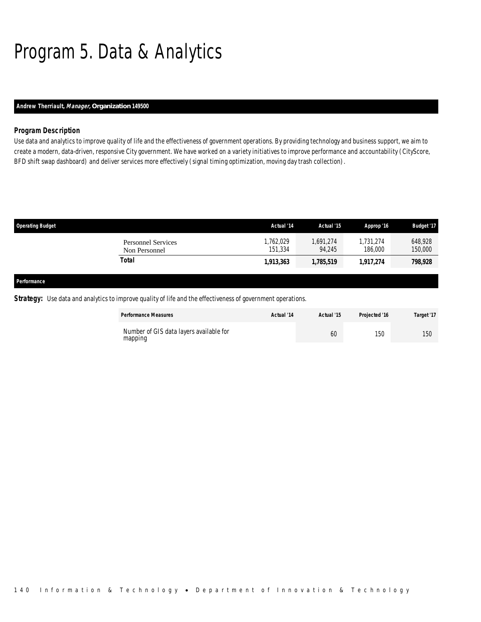# Program 5. Data & Analytics

## *Andrew Therriault, Manager, Organization 149500*

## *Program Description*

Use data and analytics to improve quality of life and the effectiveness of government operations. By providing technology and business support, we aim to create a modern, data-driven, responsive City government. We have worked on a variety initiatives to improve performance and accountability (CityScore, BFD shift swap dashboard) and deliver services more effectively (signal timing optimization, moving day trash collection).

| <b>Operating Budget</b> |                                            | Actual '14           | Actual '15          | Approp '16           | <b>Budget '17</b>  |
|-------------------------|--------------------------------------------|----------------------|---------------------|----------------------|--------------------|
|                         | <b>Personnel Services</b><br>Non Personnel | 1,762,029<br>151,334 | 1,691,274<br>94.245 | 1.731.274<br>186,000 | 648,928<br>150,000 |
|                         | <b>Total</b>                               | 1,913,363            | 1,785,519           | 1,917,274            | 798,928            |
|                         |                                            |                      |                     |                      |                    |
| Performance             |                                            |                      |                     |                      |                    |

**Strategy:** Use data and analytics to improve quality of life and the effectiveness of government operations.

| <b>Performance Measures</b>                        | Actual '14 | Actual '15 | Projected '16 | Target '17 |
|----------------------------------------------------|------------|------------|---------------|------------|
| Number of GIS data lavers available for<br>mapping |            | 60         | 150           | 15Ր        |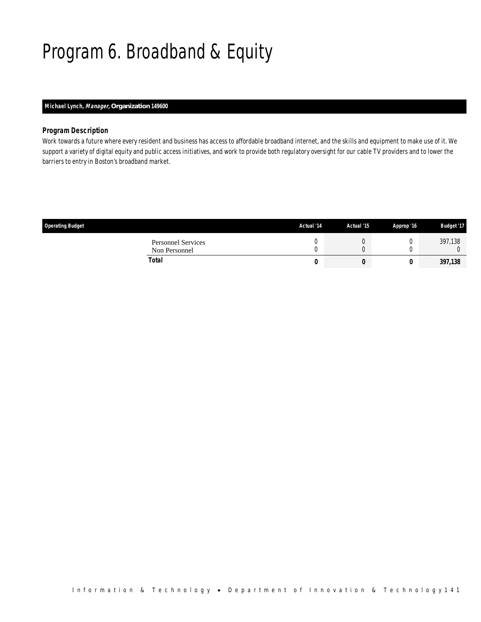# Program 6. Broadband & Equity

## *Michael Lynch, Manager, Organization 149600*

## *Program Description*

Work towards a future where every resident and business has access to affordable broadband internet, and the skills and equipment to make use of it. We support a variety of digital equity and public access initiatives, and work to provide both regulatory oversight for our cable TV providers and to lower the barriers to entry in Boston's broadband market.

| <b>Operating Budget</b>                    | Actual '14 | Actual '15 | Approp '16 | <b>Budget '17</b> |
|--------------------------------------------|------------|------------|------------|-------------------|
| <b>Personnel Services</b><br>Non Personnel |            | U          |            | 397,138           |
| Total                                      | U          | υ          |            | 397,138           |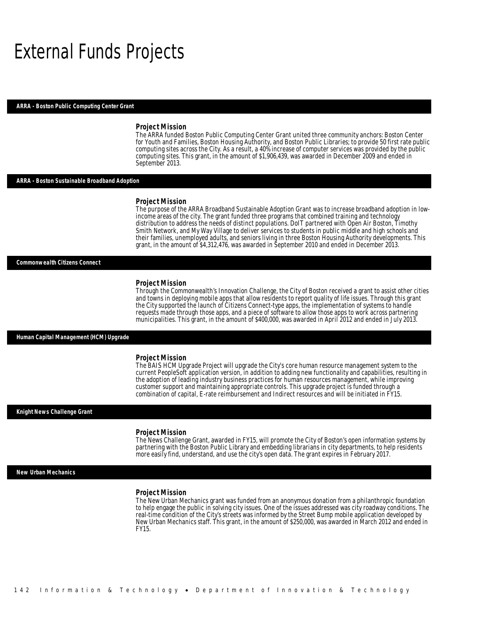## External Funds Projects

#### *ARRA - Boston Public Computing Center Grant*

#### *Project Mission*

The ARRA funded Boston Public Computing Center Grant united three community anchors: Boston Center for Youth and Families, Boston Housing Authority, and Boston Public Libraries; to provide 50 first rate public computing sites across the City. As a result, a 40% increase of computer services was provided by the public computing sites. This grant, in the amount of \$1,906,439, was awarded in December 2009 and ended in September 2013.

#### *ARRA - Boston Sustainable Broadband Adoption*

#### *Project Mission*

The purpose of the ARRA Broadband Sustainable Adoption Grant was to increase broadband adoption in lowincome areas of the city. The grant funded three programs that combined training and technology distribution to address the needs of distinct populations. DoIT partnered with Open Air Boston, Timothy Smith Network, and My Way Village to deliver services to students in public middle and high schools and their families, unemployed adults, and seniors living in three Boston Housing Authority developments. This grant, in the amount of \$4,312,476, was awarded in September 2010 and ended in December 2013. Ì

#### *Commonwealth Citizens Connect*

#### *Project Mission*

Through the Commonwealth's Innovation Challenge, the City of Boston received a grant to assist other cities and towns in deploying mobile apps that allow residents to report quality of life issues. Through this grant the City supported the launch of Citizens Connect-type apps, the implementation of systems to handle requests made through those apps, and a piece of software to allow those apps to work across partnering municipalities. This grant, in the amount of \$400,000, was awarded in April 2012 and ended in July 2013.

## *Human Capital Management (HCM) Upgrade*

#### *Project Mission*

The BAIS HCM Upgrade Project will upgrade the City's core human resource management system to the current PeopleSoft application version, in addition to adding new functionality and capabilities, resulting in the adoption of leading industry business practices for human resources management, while improving customer support and maintaining appropriate controls. This upgrade project is funded through a combination of capital, E-rate reimbursement and Indirect resources and will be initiated in FY15.

#### *Knight News Challenge Grant*

#### *Project Mission*

The News Challenge Grant, awarded in FY15, will promote the City of Boston's open information systems by partnering with the Boston Public Library and embedding librarians in city departments, to help residents more easily find, understand, and use the city's open data. The grant expires in February 2017.

#### *New Urban Mechanics*

#### *Project Mission*

The New Urban Mechanics grant was funded from an anonymous donation from a philanthropic foundation to help engage the public in solving city issues. One of the issues addressed was city roadway conditions. The real-time condition of the City's streets was informed by the Street Bump mobile application developed by New Urban Mechanics staff. This grant, in the amount of \$250,000, was awarded in March 2012 and ended in FY15.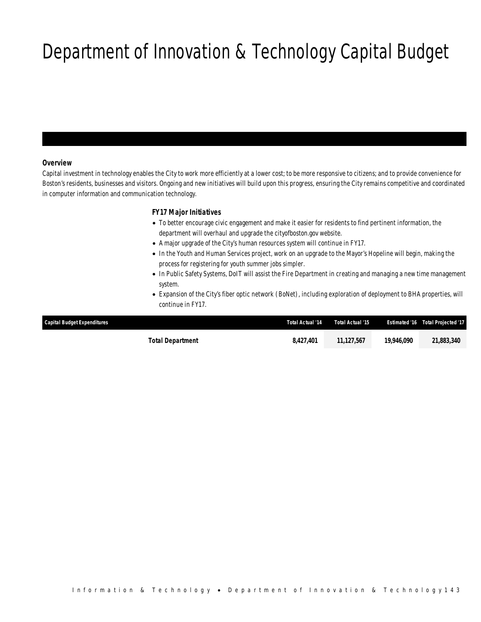# Department of Innovation & Technology Capital Budget

## *Overview*

Capital investment in technology enables the City to work more efficiently at a lower cost; to be more responsive to citizens; and to provide convenience for Boston's residents, businesses and visitors. Ongoing and new initiatives will build upon this progress, ensuring the City remains competitive and coordinated in computer information and communication technology.

## *FY17 Major Initiatives*

- To better encourage civic engagement and make it easier for residents to find pertinent information, the department will overhaul and upgrade the cityofboston.gov website.
- A major upgrade of the City's human resources system will continue in FY17.
- In the Youth and Human Services project, work on an upgrade to the Mayor's Hopeline will begin, making the process for registering for youth summer jobs simpler.
- In Public Safety Systems, DoIT will assist the Fire Department in creating and managing a new time management system.
- Expansion of the City's fiber optic network (BoNet), including exploration of deployment to BHA properties, will continue in FY17.

| <b>Capital Budget Expenditures</b> | Total Actual '14 | Total Actual '15 | <b>Estimated '16</b> | Total Projected '17 |
|------------------------------------|------------------|------------------|----------------------|---------------------|
| Total Department                   | 8.427.401        | 11.127.567       | 19,946.090           | 21.883.340          |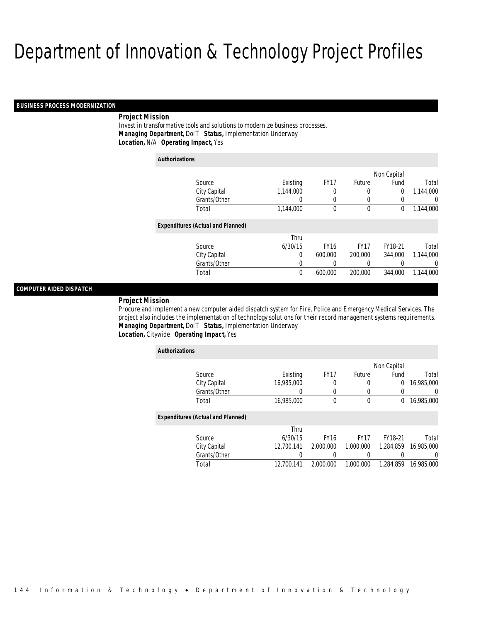#### *BUSINESS PROCESS MODERNIZATION*

## *Project Mission*

Invest in transformative tools and solutions to modernize business processes. *Managing Department,* DoIT *Status,* Implementation Underway*Location,* N/A *Operating Impact,* Yes

| <b>Authorizations</b>                    |              |           |                  |             |             |                |
|------------------------------------------|--------------|-----------|------------------|-------------|-------------|----------------|
|                                          |              |           |                  |             | Non Capital |                |
| Source                                   |              | Existing  | FY <sub>17</sub> | Future      | Fund        | Total          |
|                                          | City Capital | 1,144,000 | 0                | 0           | 0           | 1.144.000      |
|                                          | Grants/Other | 0         | 0                | 0           | 0           | $\overline{0}$ |
| Total                                    |              | 1,144,000 | 0                | 0           | 0           | 1,144,000      |
| <b>Expenditures (Actual and Planned)</b> |              |           |                  |             |             |                |
|                                          |              | Thru      |                  |             |             |                |
| Source                                   |              | 6/30/15   | <b>FY16</b>      | <b>FY17</b> | FY18-21     | Total          |
|                                          | City Capital | 0         | 600,000          | 200,000     | 344,000     | 1,144,000      |
|                                          | Grants/Other | 0         | 0                | 0           | 0           | $\overline{0}$ |
| Total                                    |              | 0         | 600,000          | 200,000     | 344,000     | 1,144,000      |

## *COMPUTER AIDED DISPATCH*

#### *Project Mission*

Procure and implement a new computer aided dispatch system for Fire, Police and Emergency Medical Services. The project also includes the implementation of technology solutions for their record management systems requirements. *Managing Department,* DoIT *Status,* Implementation Underway*Location,* Citywide *Operating Impact,* Yes

| <b>Authorizations</b>                    |            |             |               |             |                |
|------------------------------------------|------------|-------------|---------------|-------------|----------------|
|                                          |            |             |               | Non Capital |                |
| Source                                   | Existing   | <b>FY17</b> | <b>Future</b> | Fund        | Total          |
| City Capital                             | 16,985,000 | 0           | 0             | $\theta$    | 16,985,000     |
| Grants/Other                             | 0          | 0           | 0             | 0           | $\overline{0}$ |
| Total                                    | 16,985,000 | $\theta$    | 0             | $^{0}$      | 16,985,000     |
| <b>Expenditures (Actual and Planned)</b> |            |             |               |             |                |
|                                          | Thru       |             |               |             |                |
| Source                                   | 6/30/15    | <b>FY16</b> | <b>FY17</b>   | FY18-21     | Total          |
| City Capital                             | 12.700.141 | 2.000.000   | 1.000.000     | 1.284.859   | 16,985,000     |
| Grants/Other                             |            |             |               |             | $\Omega$       |
| Total                                    | 12.700.141 | 2.000.000   | 1.000.000     | 1.284.859   | 16,985,000     |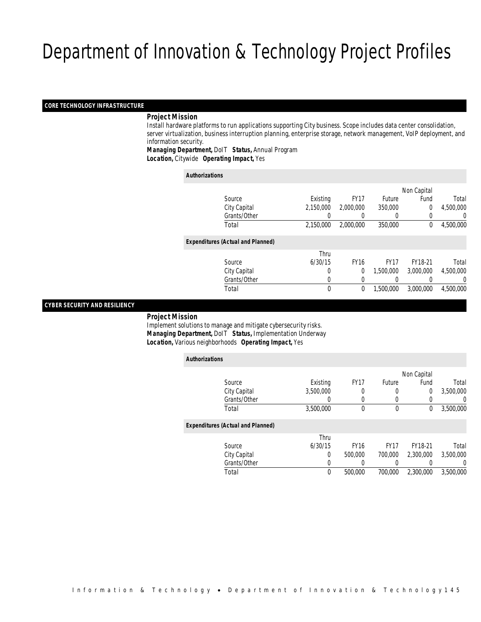#### *CORE TECHNOLOGY INFRASTRUCTURE*

## *Project Mission*

 Install hardware platforms to run applications supporting City business. Scope includes data center consolidation, server virtualization, business interruption planning, enterprise storage, network management, VoIP deployment, and information security.

*Managing Department,* DoIT *Status,* Annual Program

*Location,* Citywide *Operating Impact,* Yes

| <b>Authorizations</b>                    |           |             |               |             |           |
|------------------------------------------|-----------|-------------|---------------|-------------|-----------|
|                                          |           |             |               | Non Capital |           |
| Source                                   | Existing  | <b>FY17</b> | <b>Future</b> | Fund        | Total     |
| City Capital                             | 2.150.000 | 2.000.000   | 350,000       | 0           | 4,500,000 |
| Grants/Other                             | 0         | 0           | 0             | 0           | 0         |
| Total                                    | 2,150,000 | 2,000,000   | 350,000       | $\Omega$    | 4,500,000 |
| <b>Expenditures (Actual and Planned)</b> |           |             |               |             |           |
|                                          | Thru      |             |               |             |           |
| Source                                   | 6/30/15   | <b>FY16</b> | <b>FY17</b>   | FY18-21     | Total     |
| City Capital                             | 0         | 0           | 1.500.000     | 3,000,000   | 4,500,000 |
| Grants/Other                             | 0         | 0           | 0             |             | $\Omega$  |
| Total                                    | 0         | 0           | 1.500.000     | 3,000,000   | 4,500,000 |

### *CYBER SECURITY AND RESILIENCY*

*Project Mission*

 Implement solutions to manage and mitigate cybersecurity risks. *Managing Department,* DoIT *Status,* Implementation Underway*Location,* Various neighborhoods *Operating Impact,* Yes

| <b>Authorizations</b>                    |           |                  |               |             |                  |
|------------------------------------------|-----------|------------------|---------------|-------------|------------------|
|                                          |           |                  |               | Non Capital |                  |
| Source                                   | Existing  | FY <sub>17</sub> | <b>Future</b> | Fund        | Total            |
| City Capital                             | 3.500.000 | 0                | 0             | $\mathbf 0$ | 3.500.000        |
| Grants/Other                             | 0         | $\left($         | 0             |             | $\left( \right)$ |
| Total                                    | 3,500,000 | 0                | 0             | $\Omega$    | 3,500,000        |
| <b>Expenditures (Actual and Planned)</b> |           |                  |               |             |                  |
|                                          | Thru      |                  |               |             |                  |
| Source                                   | 6/30/15   | <b>FY16</b>      | <b>FY17</b>   | FY18-21     | Total            |
| City Capital                             | 0         | 500,000          | 700,000       | 2,300,000   | 3,500,000        |
| Grants/Other                             | 0         | 0                |               |             | $\Omega$         |
| Total                                    | 0         | 500,000          | 700.000       | 2.300.000   | 3,500,000        |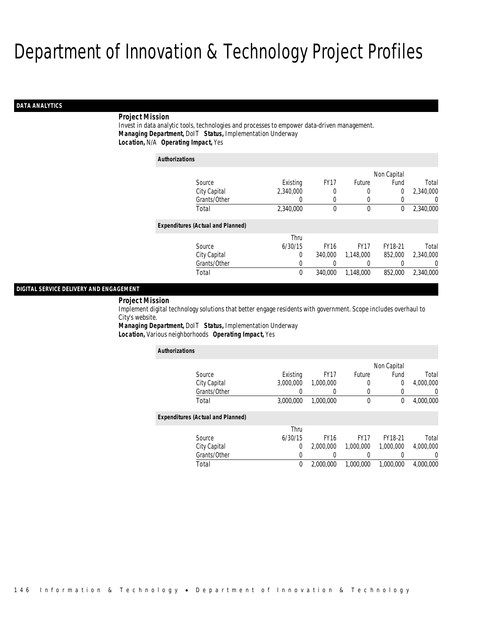## *DATA ANALYTICS*

## *Project Mission*

Invest in data analytic tools, technologies and processes to empower data-driven management. *Managing Department,* DoIT *Status,* Implementation Underway*Location,* N/A *Operating Impact,* Yes

| <b>Authorizations</b>                    |           |             |             |             |           |
|------------------------------------------|-----------|-------------|-------------|-------------|-----------|
|                                          |           |             |             | Non Capital |           |
| Source                                   | Existing  | <b>FY17</b> | Future      | Fund        | Total     |
| City Capital                             | 2,340,000 |             | 0           | 0           | 2,340,000 |
| Grants/Other                             | 0         | 0           | 0           |             | 0         |
| Total                                    | 2,340,000 | 0           | $\mathbf 0$ | 0           | 2,340,000 |
| <b>Expenditures (Actual and Planned)</b> |           |             |             |             |           |
|                                          | Thru      |             |             |             |           |
| Source                                   | 6/30/15   | <b>FY16</b> | <b>FY17</b> | FY18-21     | Total     |
| City Capital                             | $\Omega$  | 340,000     | 1.148.000   | 852,000     | 2.340.000 |
| Grants/Other                             | 0         |             |             |             | $\left($  |
| Total                                    | 0         | 340,000     | 1,148,000   | 852,000     | 2,340,000 |

## *DIGITAL SERVICE DELIVERY AND ENGAGEMENT*

#### *Project Mission*

Implement digital technology solutions that better engage residents with government. Scope includes overhaul to City's website.

*Managing Department,* DoIT *Status,* Implementation Underway*Location,* Various neighborhoods *Operating Impact,* Yes

| <b>Authorizations</b>                    |           |             |             |             |                |  |
|------------------------------------------|-----------|-------------|-------------|-------------|----------------|--|
|                                          |           |             |             | Non Capital |                |  |
| Source                                   | Existing  | <b>FY17</b> | Future      | Fund        | Total          |  |
| City Capital                             | 3,000,000 | 1.000.000   | 0           | $\theta$    | 4,000,000      |  |
| Grants/Other                             | 0         | 0           | 0           |             | $\overline{0}$ |  |
| Total                                    | 3,000,000 | 1.000.000   | $\mathbf 0$ | 0           | 4,000,000      |  |
| <b>Expenditures (Actual and Planned)</b> |           |             |             |             |                |  |
|                                          | Thru      |             |             |             |                |  |
| Source                                   | 6/30/15   | <b>FY16</b> | <b>FY17</b> | FY18-21     | Total          |  |
| City Capital                             | 0         | 2,000,000   | 1,000,000   | 1,000,000   | 4.000.000      |  |
| Grants/Other                             | 0         |             | 0           |             | $\Omega$       |  |
| Total                                    | 0         | 2.000.000   | 1,000,000   | 1,000,000   | 4.000.000      |  |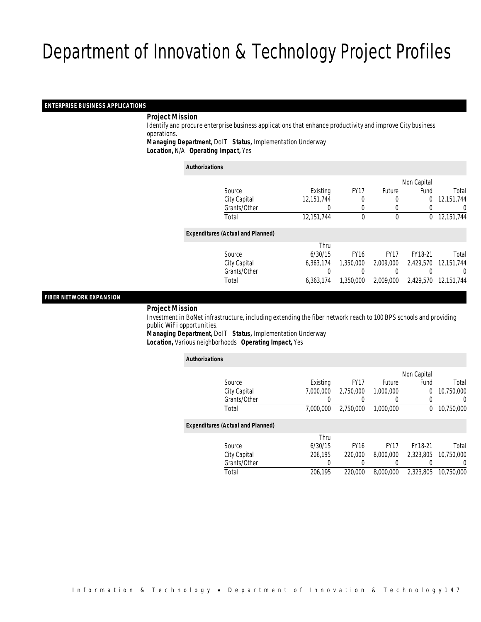## *ENTERPRISE BUSINESS APPLICATIONS*

## *Project Mission*

 Identify and procure enterprise business applications that enhance productivity and improve City business operations.

*Managing Department,* DoIT *Status,* Implementation Underway

*Location,* N/A *Operating Impact,* Yes

#### *Authorizations*

|                                          |                  |             |                  | Non Capital |                      |
|------------------------------------------|------------------|-------------|------------------|-------------|----------------------|
| Source                                   | Existing         | <b>FY17</b> | <b>Future</b>    | Fund        | Total                |
| City Capital                             | 12,151,744       | 0           | $\left($         | 0           | 12,151,744           |
| Grants/Other                             | $\left( \right)$ | 0           | $\left( \right)$ |             | 0                    |
| Total                                    | 12,151,744       | $\theta$    | $\mathbf 0$      | $\Omega$    | 12,151,744           |
| <b>Expenditures (Actual and Planned)</b> |                  |             |                  |             |                      |
|                                          | Thru             |             |                  |             |                      |
| Source                                   | 6/30/15          | <b>FY16</b> | <b>FY17</b>      | FY18-21     | Total                |
| City Capital                             | 6.363.174        | 1,350,000   | 2,009,000        |             | 2,429,570 12,151,744 |
| Grants/Other                             |                  |             |                  |             | 0                    |
| Total                                    | 6,363,174        | 1,350,000   | 2,009,000        | 2,429,570   | 12,151,744           |
|                                          |                  |             |                  |             |                      |

## *FIBER NETWORK EXPANSION*

*Project Mission*

 Investment in BoNet infrastructure, including extending the fiber network reach to 100 BPS schools and providing public WiFi opportunities.

*Managing Department,* DoIT *Status,* Implementation Underway*Location,* Various neighborhoods *Operating Impact,* Yes

| <b>Authorizations</b>                    |           |             |             |             |            |  |
|------------------------------------------|-----------|-------------|-------------|-------------|------------|--|
|                                          |           |             |             | Non Capital |            |  |
| Source                                   | Existing  | <b>FY17</b> | Future      | Fund        | Total      |  |
| City Capital                             | 7.000.000 | 2.750.000   | 1.000.000   | 0           | 10.750.000 |  |
| Grants/Other                             | 0         | 0           | 0           | 0           | $\Omega$   |  |
| Total                                    | 7.000.000 | 2.750.000   | 1,000,000   | 0           | 10,750,000 |  |
| <b>Expenditures (Actual and Planned)</b> |           |             |             |             |            |  |
|                                          | Thru      |             |             |             |            |  |
| Source                                   | 6/30/15   | <b>FY16</b> | <b>FY17</b> | FY18-21     | Total      |  |
| City Capital                             | 206.195   | 220,000     | 8,000,000   | 2.323.805   | 10.750.000 |  |
| Grants/Other                             | 0         |             | 0           |             | 0          |  |
| Total                                    | 206.195   | 220,000     | 8,000,000   | 2.323.805   | 10,750,000 |  |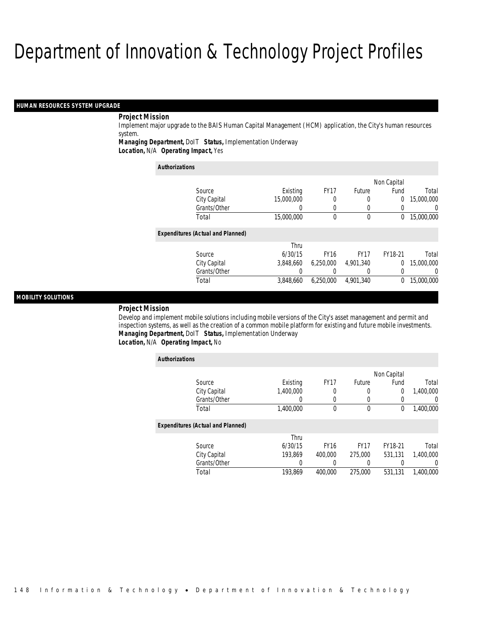#### *HUMAN RESOURCES SYSTEM UPGRADE*

## *Project Mission*

Implement major upgrade to the BAIS Human Capital Management (HCM) application, the City's human resources system.

*Managing Department,* DoIT *Status,* Implementation Underway

*Location,* N/A *Operating Impact,* Yes

| <b>Authorizations</b>                    |            |             |             |             |            |  |
|------------------------------------------|------------|-------------|-------------|-------------|------------|--|
|                                          |            |             |             | Non Capital |            |  |
| Source                                   | Existing   | <b>FY17</b> | Future      | Fund        | Total      |  |
| City Capital                             | 15,000,000 | 0           | 0           | 0           | 15,000,000 |  |
| Grants/Other                             | 0          | 0           |             |             | 0          |  |
| Total                                    | 15,000,000 | $\theta$    | $\mathbf 0$ | 0           | 15,000,000 |  |
| <b>Expenditures (Actual and Planned)</b> |            |             |             |             |            |  |
|                                          | Thru       |             |             |             |            |  |
| Source                                   | 6/30/15    | <b>FY16</b> | <b>FY17</b> | FY18-21     | Total      |  |
| City Capital                             | 3,848,660  | 6,250,000   | 4.901.340   | $\Omega$    | 15,000,000 |  |
| Grants/Other                             |            |             |             |             | $\left($   |  |
| Total                                    | 3.848.660  | 6.250.000   | 4.901.340   | 0           | 15,000,000 |  |

## *MOBILITY SOLUTIONS*

#### *Project Mission*

Develop and implement mobile solutions including mobile versions of the City's asset management and permit and inspection systems, as well as the creation of a common mobile platform for existing and future mobile investments. *Managing Department,* DoIT *Status,* Implementation Underway*Location,* N/A *Operating Impact,* No

| <b>Authorizations</b>                    |           |             |             |             |                |
|------------------------------------------|-----------|-------------|-------------|-------------|----------------|
|                                          |           |             |             | Non Capital |                |
| Source                                   | Existing  | <b>FY17</b> | Future      | Fund        | Total          |
| City Capital                             | 1.400.000 | 0           | 0           | 0           | 1,400,000      |
| Grants/Other                             | 0         | 0           | 0           |             | $\overline{0}$ |
| Total                                    | 1,400,000 | 0           | 0           | 0           | 1,400,000      |
| <b>Expenditures (Actual and Planned)</b> |           |             |             |             |                |
|                                          | Thru      |             |             |             |                |
| Source                                   | 6/30/15   | <b>FY16</b> | <b>FY17</b> | FY18-21     | Total          |
| City Capital                             | 193.869   | 400,000     | 275,000     | 531.131     | 1,400,000      |
| Grants/Other                             | 0         |             | 0           |             | 0              |
| Total                                    | 193.869   | 400,000     | 275,000     | 531.131     | 1.400.000      |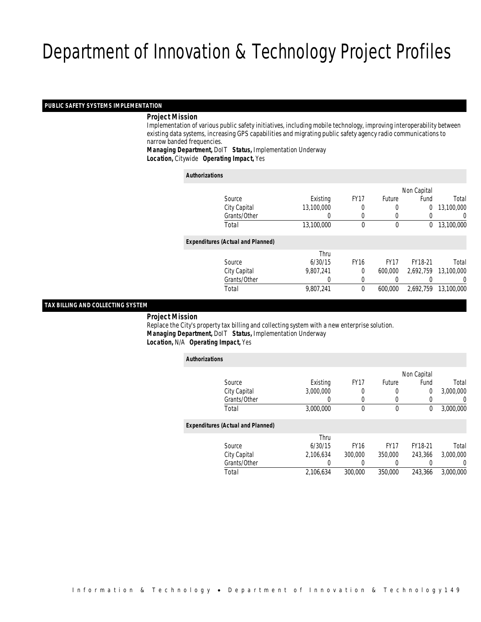## *PUBLIC SAFETY SYSTEMS IMPLEMENTATION*

## *Project Mission*

 Implementation of various public safety initiatives, including mobile technology, improving interoperability between existing data systems, increasing GPS capabilities and migrating public safety agency radio communications to narrow banded frequencies.

*Managing Department,* DoIT *Status,* Implementation Underway*Location,* Citywide *Operating Impact,* Yes

| <b>Authorizations</b> |                                          |                  |             |             |             |            |
|-----------------------|------------------------------------------|------------------|-------------|-------------|-------------|------------|
|                       |                                          |                  |             |             | Non Capital |            |
|                       | Source                                   | Existing         | <b>FY17</b> | Future      | Fund        | Total      |
|                       | City Capital                             | 13,100,000       | 0           |             | $\mathbf 0$ | 13,100,000 |
|                       | Grants/Other                             | $\left( \right)$ | 0           | 0           | 0           | 0          |
|                       | Total                                    | 13,100,000       | $\theta$    | $\mathbf 0$ | $\Omega$    | 13,100,000 |
|                       | <b>Expenditures (Actual and Planned)</b> |                  |             |             |             |            |
|                       |                                          | Thru             |             |             |             |            |
|                       | Source                                   | 6/30/15          | <b>FY16</b> | <b>FY17</b> | FY18-21     | Total      |
|                       | City Capital                             | 9.807.241        | $\theta$    | 600,000     | 2.692.759   | 13,100,000 |
|                       | Grants/Other                             | 0                | $\Omega$    |             |             | 0          |
|                       | Total                                    | 9,807,241        | $\theta$    | 600.000     | 2.692.759   | 13,100,000 |
|                       |                                          |                  |             |             |             |            |

#### *TAX BILLING AND COLLECTING SYSTEM*

*Project Mission*

 Replace the City's property tax billing and collecting system with a new enterprise solution. *Managing Department,* DoIT *Status,* Implementation Underway*Location,* N/A *Operating Impact,* Yes

| <b>Authorizations</b>                    |           |             |             |             |                  |
|------------------------------------------|-----------|-------------|-------------|-------------|------------------|
|                                          |           |             |             | Non Capital |                  |
| Source                                   | Existing  | <b>FY17</b> | Future      | Fund        | Total            |
| City Capital                             | 3.000.000 | 0           | 0           | $\Omega$    | 3,000,000        |
| Grants/Other                             | 0         | $\Omega$    | 0           |             | $\left( \right)$ |
| Total                                    | 3,000,000 | 0           | $\mathbf 0$ | 0           | 3,000,000        |
| <b>Expenditures (Actual and Planned)</b> |           |             |             |             |                  |
|                                          | Thru      |             |             |             |                  |
| Source                                   | 6/30/15   | <b>FY16</b> | <b>FY17</b> | FY18-21     | Total            |
| City Capital                             | 2,106,634 | 300,000     | 350,000     | 243.366     | 3,000,000        |
| Grants/Other                             | 0         |             | 0           |             | 0                |
| Total                                    | 2.106.634 | 300,000     | 350,000     | 243.366     | 3,000,000        |